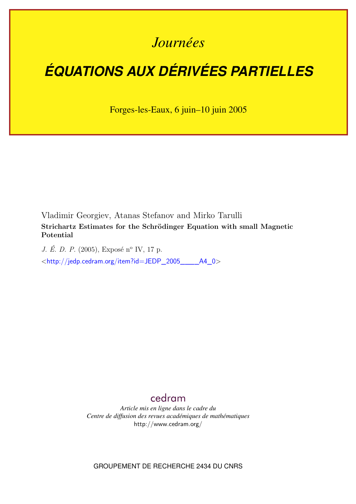## *Journées*

# *ÉQUATIONS AUX DÉRIVÉES PARTIELLES*

Forges-les-Eaux, 6 juin–10 juin 2005

Vladimir Georgiev, Atanas Stefanov and Mirko Tarulli **Strichartz Estimates for the Schrödinger Equation with small Magnetic Potential**

*J. É. D. P.* (2005), Exposé n<sup>o</sup> IV, 17 p. <[http://jedp.cedram.org/item?id=JEDP\\_2005\\_\\_\\_\\_A4\\_0](http://jedp.cedram.org/item?id=JEDP_2005____A4_0)>

### [cedram](http://www.cedram.org/)

*Article mis en ligne dans le cadre du Centre de diffusion des revues académiques de mathématiques* <http://www.cedram.org/>

GROUPEMENT DE RECHERCHE 2434 DU CNRS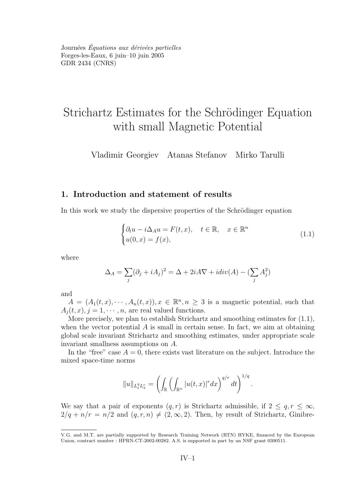<span id="page-1-0"></span>Journées *Équations aux dérivées partielles* Forges-les-Eaux, 6 juin–10 juin 2005 GDR 2434 [\(CNRS\)](http://www.cnrs.fr)

## Strichartz Estimates for the Schrödinger Equation with small Magnetic Potential

Vladimir Georgiev Atanas Stefanov Mirko Tarulli

#### **1. Introduction and statement of results**

In this work we study the dispersive properties of the Schrödinger equation

$$
\begin{cases} \partial_t u - i \Delta_A u = F(t, x), \quad t \in \mathbb{R}, \quad x \in \mathbb{R}^n \\ u(0, x) = f(x), \end{cases}
$$
 (1.1)

where

$$
\Delta_A = \sum_j (\partial_j + iA_j)^2 = \Delta + 2iA\nabla + idiv(A) - (\sum_j A_j^2)
$$

and

 $A = (A_1(t,x), \dots, A_n(t,x)), x \in \mathbb{R}^n, n \geq 3$  is a magnetic potential, such that  $A_i(t, x), j = 1, \dots, n$ , are real valued functions.

More precisely, we plan to establish Strichartz and smoothing estimates for (1.1), when the vector potential  $\vec{A}$  is small in certain sense. In fact, we aim at obtaining global scale invariant Strichartz and smoothing estimates, under appropriate scale invariant smallness assumptions on A.

In the "free" case  $A = 0$ , there exists vast literature on the subject. Introduce the mixed space-time norms

$$
||u||_{L_t^q L_x^r} = \left( \int_{\mathbb{R}} \left( \int_{\mathbb{R}^n} |u(t,x)|^r dx \right)^{q/r} dt \right)^{1/q}.
$$

We say that a pair of exponents  $(q, r)$  is Strichartz admissible, if  $2 \leq q, r \leq \infty$ ,  $2/q + n/r = n/2$  and  $(q, r, n) \neq (2, \infty, 2)$ . Then, by result of Strichartz, Ginibre-

V.G. and M.T. are partially supported by Research Training Network (RTN) HYKE, financed by the European Union, contract number : HPRN-CT-2002-00282. A.S. is supported in part by an NSF grant 0300511.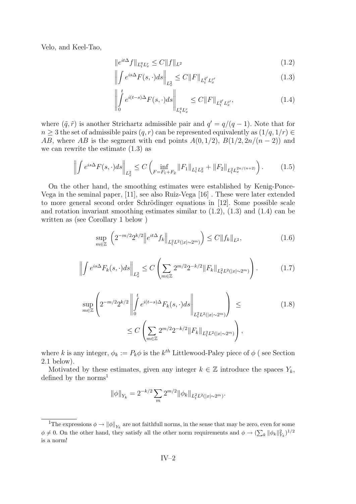<span id="page-2-0"></span>Velo, and Keel-Tao,

$$
||e^{it\Delta}f||_{L_t^q L_x^r} \le C||f||_{L^2}
$$
\n(1.2)

$$
\left\| \int e^{is\Delta} F(s, \cdot) ds \right\|_{L_x^2} \le C \|F\|_{L_t^{\tilde{q}'} L_x^{\tilde{r}'}} \tag{1.3}
$$

$$
\left\| \int_{0}^{t} e^{i(t-s)\Delta} F(s, \cdot) ds \right\|_{L_{t}^{q} L_{x}^{r}} \leq C \|F\|_{L_{t}^{\tilde{q}'} L_{x}^{\tilde{r}'}} ,\tag{1.4}
$$

where  $(\tilde{q}, \tilde{r})$  is another Strichartz admissible pair and  $q' = q/(q-1)$ . Note that for  $n \geq 3$  the set of admissible pairs  $(q, r)$  can be represented equivalently as  $(1/q, 1/r) \in$ AB, where AB is the segment with end points  $A(0, 1/2)$ ,  $B(1/2, 2n/(n-2))$  and we can rewrite the estimate (1.3) as

$$
\left\| \int e^{is\Delta} F(s,\cdot) ds \right\|_{L_x^2} \le C \left( \inf_{F = F_1 + F_2} \|F_1\|_{L_t^1 L_x^2} + \|F_2\|_{L_t^2 L_x^{2n/(n+2)}} \right). \tag{1.5}
$$

On the other hand, the smoothing estimates were established by Kenig-Ponce-Vega in the seminal paper, [\[11\]](#page-16-0), see also Ruiz-Vega [\[16\]](#page-16-0) . These were later extended to more general second order Schrödinger equations in [\[12\]](#page-16-0). Some possible scale and rotation invariant smoothing estimates similar to  $(1.2)$ ,  $(1.3)$  and  $(1.4)$  can be written as (see Corollary [1](#page-10-0) below )

$$
\sup_{m \in \mathbb{Z}} \left( 2^{-m/2} 2^{k/2} \left\| e^{it\Delta} f_k \right\|_{L_t^2 L^2(|x| \sim 2^m)} \right) \le C \|f_k\|_{L^2},\tag{1.6}
$$

$$
\left\| \int e^{is\Delta} F_k(s, \cdot) ds \right\|_{L^2_x} \le C \left( \sum_{m \in \mathbb{Z}} 2^{m/2} 2^{-k/2} \|F_k\|_{L^2_t L^2(|x| \sim 2^m)} \right). \tag{1.7}
$$

$$
\sup_{m\in\mathbb{Z}} \left( 2^{-m/2} 2^{k/2} \left\| \int_0^t e^{i(t-s)\Delta} F_k(s, \cdot) ds \right\|_{L_t^2 L^2(|x|\sim 2^m)} \right) \leq
$$
\n
$$
\leq C \left( \sum_{m\in\mathbb{Z}} 2^{m/2} 2^{-k/2} \|F_k\|_{L_t^2 L^2(|x|\sim 2^m)} \right),
$$
\n(1.8)

where k is any integer,  $\phi_k := P_k \phi$  is the  $k^{th}$  Littlewood-Paley piece of  $\phi$  (see Section [2.1](#page-5-0) below).

Motivated by these estimates, given any integer  $k \in \mathbb{Z}$  introduce the spaces  $Y_k$ , defined by the norms<sup>1</sup>

$$
\|\phi\|_{Y_k} = 2^{-k/2} \sum_m 2^{m/2} \|\phi_k\|_{L^2_t L^2(|x| \sim 2^m)}.
$$

<sup>&</sup>lt;sup>1</sup>The expressions  $\phi \to ||\phi||_{Y_k}$  are not faithfull norms, in the sense that may be zero, even for some  $\phi \neq 0$ . On the other hand, they satisfy all the other norm requirements and  $\phi \to (\sum_k ||\phi_k||^2_{Y_k})^{1/2}$ is a norm!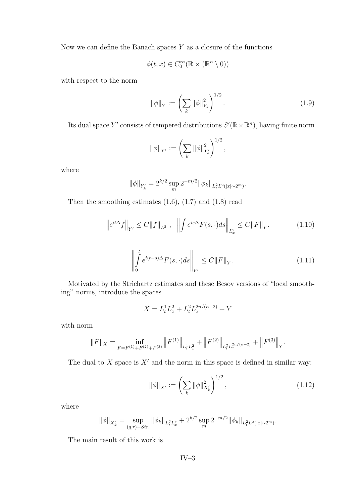<span id="page-3-0"></span>Now we can define the Banach spaces  $Y$  as a closure of the functions

$$
\phi(t, x) \in C_0^{\infty}(\mathbb{R} \times (\mathbb{R}^n \setminus 0))
$$

with respect to the norm

$$
\|\phi\|_{Y} := \left(\sum_{k} \|\phi\|_{Y_{k}}^{2}\right)^{1/2}.
$$
\n(1.9)

Its dual space Y' consists of tempered distributions  $S'(\mathbb{R} \times \mathbb{R}^n)$ , having finite norm

$$
\|\phi\|_{Y'} := \left(\sum_k \|\phi\|_{Y'_k}^2\right)^{1/2},\,
$$

where

$$
\|\phi\|_{Y'_k} = 2^{k/2} \sup_m 2^{-m/2} \|\phi_k\|_{L_t^2 L^2(|x| \sim 2^m)}.
$$

Then the smoothing estimates  $(1.6)$ ,  $(1.7)$  and  $(1.8)$  read

$$
\left\|e^{it\Delta}f\right\|_{Y'} \le C\|f\|_{L^2}, \quad \left\|\int e^{is\Delta}F(s,\cdot)ds\right\|_{L^2_x} \le C\|F\|_Y. \tag{1.10}
$$

$$
\left\| \int_{0}^{t} e^{i(t-s)\Delta} F(s, \cdot) ds \right\|_{Y'} \le C \|F\|_{Y}.
$$
\n(1.11)

Motivated by the Strichartz estimates and these Besov versions of "local smoothing" norms, introduce the spaces

$$
X = L_t^1 L_x^2 + L_t^2 L_x^{2n/(n+2)} + Y
$$

with norm

$$
||F||_X = \inf_{F = F^{(1)} + F^{(2)} + F^{(3)}} ||F^{(1)}||_{L^1_t L^2_x} + ||F^{(2)}||_{L^2_t L^{2n/(n+2)}} + ||F^{(3)}||_Y.
$$

The dual to X space is  $X'$  and the norm in this space is defined in similar way:

$$
\|\phi\|_{X'} := \left(\sum_k \|\phi\|_{X'_k}^2\right)^{1/2},\tag{1.12}
$$

where

$$
\|\phi\|_{X'_{k}} = \sup_{(q,r)\sim Str.} \|\phi_{k}\|_{L_{t}^{q}L_{x}^{r}} + 2^{k/2} \sup_{m} 2^{-m/2} \|\phi_{k}\|_{L_{t}^{2}L^{2}(|x|\sim 2^{m})}.
$$

The main result of this work is

IV–3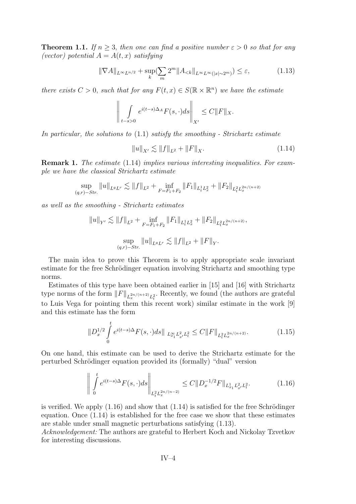<span id="page-4-0"></span>**Theorem 1.1.** *If*  $n \geq 3$ *, then one can find a positive number*  $\varepsilon > 0$  *so that for any (vector)* potential  $A = A(t, x)$  *satisfying* 

$$
\|\nabla A\|_{L^{\infty}L^{n/2}} + \sup_{k} \left(\sum_{m} 2^{m} \|A_{< k}\|_{L^{\infty}L^{\infty}(|x| \sim 2^{m})}\right) \leq \varepsilon,\tag{1.13}
$$

*there exists*  $C > 0$ , *such that for any*  $F(t, x) \in S(\mathbb{R} \times \mathbb{R}^n)$  *we have the estimate* 

$$
\left\| \int\limits_{t-s>0} e^{i(t-s)\Delta_A} F(s,\cdot) ds \right\|_{X'} \leq C \|F\|_X.
$$

*In particular, the solutions to* [\(1.1\)](#page-1-0) *satisfy the smoothing - Strichartz estimate*

$$
||u||_{X'} \lesssim ||f||_{L^2} + ||F||_X. \tag{1.14}
$$

**Remark 1.** *The estimate* (1.14) *implies various interesting inequalities. For example we have the classical Strichartz estimate*

$$
\sup_{(q,r)-Str.} \|u\|_{L^q L^r} \lesssim \|f\|_{L^2} + \inf_{F=F_1+F_2} \|F_1\|_{L^1_t L^2_x} + \|F_2\|_{L^2_t L^{2n/(n+2)}_x}
$$

*as well as the smoothing - Strichartz estimates*

$$
||u||_{Y'} \lesssim ||f||_{L^2} + \inf_{F = F_1 + F_2} ||F_1||_{L^1_t L^2_x} + ||F_2||_{L^2_t L^{2n/(n+2)}_x},
$$
  

$$
\sup_{(q,r) - Str.} ||u||_{L^q L^r} \lesssim ||f||_{L^2} + ||F||_Y.
$$

The main idea to prove this Theorem is to apply appropriate scale invariant estimate for the free Schrödinger equation involving Strichartz and smoothing type norms.

Estimates of this type have been obtained earlier in [\[15\]](#page-16-0) and [\[16\]](#page-16-0) with Strichartz type norms of the form  $||F||_{L_x^{2n/(n+2)}L_t^2}$ . Recently, we found (the authors are grateful to Luis Vega for pointing them this recent work) similar estimate in the work [\[9\]](#page-16-0) and this estimate has the form

$$
||D_x^{1/2} \int_0^t e^{i(t-s)\Delta} F(s, \cdot) ds||_{L_{x_1}^{\infty} L_{x'}^2 L_t^2} \le C ||F||_{L_t^2 L_x^{2n/(n+2)}}.
$$
 (1.15)

On one hand, this estimate can be used to derive the Strichartz estimate for the perturbed Schrödinger equation provided its (formally) "dual" version

$$
\left\| \int_{0}^{t} e^{i(t-s)\Delta} F(s, \cdot) ds \right\|_{L_{t}^{2} L_{x}^{2n/(n-2)}} \leq C \| D_{x}^{-1/2} F \|_{L_{x_{1}}^{1} L_{x'}^{2} L_{t}^{2}}.
$$
 (1.16)

is verified. We apply  $(1.16)$  and show that  $(1.14)$  is satisfied for the free Schrödinger equation. Once (1.14) is established for the free case we show that these estimates are stable under small magnetic perturbations satisfying (1.13).

*Acknowledgement:* The authors are grateful to Herbert Koch and Nickolay Tzvetkov for interesting discussions.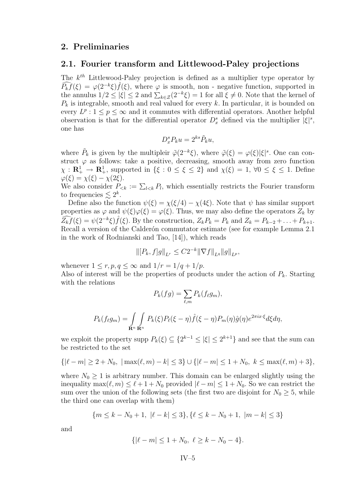#### <span id="page-5-0"></span>**2. Preliminaries**

#### **2.1. Fourier transform and Littlewood-Paley projections**

The  $k^{th}$  Littlewood-Paley projection is defined as a multiplier type operator by  $\widehat{P_k f}(\xi) = \varphi(2^{-k}\xi) \widehat{f}(\xi)$ , where  $\varphi$  is smooth, non - negative function, supported in the annulus  $1/2 \le |\xi| \le 2$  and  $\sum_{k \in \mathcal{Z}} (2^{-k}\xi) = 1$  for all  $\xi \ne 0$ . Note that the kernel of  $P_k$  is integrable, smooth and real valued for every k. In particular, it is bounded on every  $L^p: 1 \leq p \leq \infty$  and it commutes with differential operators. Another helpful observation is that for the differential operator  $D_x^s$  defined via the multiplier  $|\xi|^s$ , one has

$$
D_x^s P_k u = 2^{ks} \tilde{P}_k u,
$$

where  $\tilde{P}_k$  is given by the multipleir  $\tilde{\varphi}(2^{-k}\xi)$ , where  $\tilde{\varphi}(\xi) = \varphi(\xi)|\xi|^s$ . One can construct  $\varphi$  as follows: take a positive, decreasing, smooth away from zero function  $\chi : \mathbf{R}^1_+ \to \mathbf{R}^1_+$ , supported in  $\{\xi : 0 \leq \xi \leq 2\}$  and  $\chi(\xi) = 1$ ,  $\forall 0 \leq \xi \leq 1$ . Define  $\varphi(\xi) = \chi(\xi) - \chi(2\xi).$ 

We also consider  $P_{\leq k} := \sum_{l \leq k} P_l$ , which essentially restricts the Fourier transform to frequencies  $\lesssim 2^k$ .

Define also the function  $\psi(\xi) = \chi(\xi/4) - \chi(4\xi)$ . Note that  $\psi$  has similar support properties as  $\varphi$  and  $\psi(\xi)\varphi(\xi) = \varphi(\xi)$ . Thus, we may also define the operators  $Z_k$  by  $\widehat{Z_k f}(\xi) = \psi(2^{-k}\xi) \widehat{f}(\xi)$ . By the construction,  $Z_k P_k = P_k$  and  $Z_k = P_{k-2} + \ldots + P_{k+1}$ . Recall a version of the Calderón commutator estimate (see for example Lemma 2.1 in the work of Rodnianski and Tao, [\[14\]](#page-16-0)), which reads

$$
\|[P_k, f]g\|_{L^r} \leq C2^{-k} \|\nabla f\|_{L^q} \|g\|_{L^p},
$$

whenever  $1 \leq r, p, q \leq \infty$  and  $1/r = 1/q + 1/p$ .

Also of interest will be the properties of products under the action of  $P_k$ . Starting with the relations

$$
P_k(fg) = \sum_{\ell,m} P_k(f_\ell g_m),
$$

$$
P_k(f_\ell g_m) = \int_{\mathbf{R}^n} \int_{\mathbf{R}^n} P_k(\xi) P_\ell(\xi - \eta) \hat{f}(\xi - \eta) P_m(\eta) \hat{g}(\eta) e^{2\pi i x \cdot \xi} d\xi d\eta,
$$

we exploit the property supp  $P_k(\xi) \subseteq \{2^{k-1} \leq |\xi| \leq 2^{k+1}\}\$  and see that the sum can be restricted to the set

$$
\{ |\ell - m| \ge 2 + N_0, \, |\max(\ell, m) - k| \le 3 \} \cup \{ |\ell - m| \le 1 + N_0, \, k \le \max(\ell, m) + 3 \},
$$

where  $N_0 \geq 1$  is arbitrary number. This domain can be enlarged slightly using the inequality  $\max(\ell, m) \leq \ell + 1 + N_0$  provided  $|\ell - m| \leq 1 + N_0$ . So we can restrict the sum over the union of the following sets (the first two are disjoint for  $N_0 \geq 5$ , while the third one can overlap with them)

$$
\{m \le k - N_0 + 1, \ |\ell - k| \le 3\}, \{\ell \le k - N_0 + 1, \ |m - k| \le 3\}
$$

and

$$
\{ |\ell - m| \le 1 + N_0, \ \ell \ge k - N_0 - 4 \}.
$$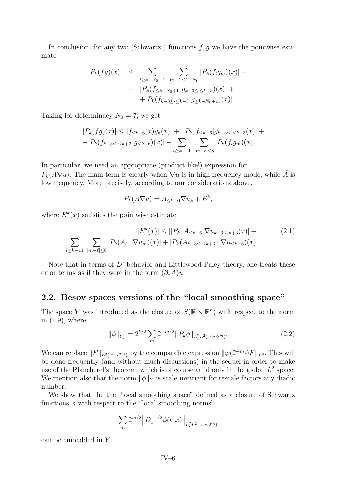<span id="page-6-0"></span>In conclusion, for any two (Schwartz ) functions  $f, g$  we have the pointwise estimate

$$
|P_k(fg)(x)| \leq \sum_{l \geq k - N_0 - 4} \sum_{|m - \ell| \leq 1 + N_0} |P_k(f_l g_m)(x)| +
$$
  
+ 
$$
|P_k(f_{\leq k - N_0 + 1} g_{k-3 \leq \cdot \leq k+3})(x)| +
$$
  
+ 
$$
|P_k(f_{k-3 \leq \cdot \leq k+3} g_{\leq k-N_0 + 1})(x)|
$$

Taking for determinacy  $N_0 = 7$ , we get

$$
|P_k(fg)(x)| \le |f_{\le k-6}(x)g_k(x)| + |[P_k, f_{\le k-6}]g_{k-3 \le k+3}(x)| +
$$
  
+|P\_k(f\_{k-3 \le k+3} g\_{\le k-6})(x)| + 
$$
\sum_{l \ge k-11} \sum_{|m-\ell| \le 8} |P_k(f_l g_m)(x)|
$$

In particular, we need an appropriate (product like!) expression for  $P_k(A\nabla u)$ . The main term is clearly when  $\nabla u$  is in high frequency mode, while A is low frequency. More precisely, according to our considerations above,

$$
P_k(A\nabla u) = A_{\leq k-6} \nabla u_k + E^k,
$$

where  $E^k(x)$  satisfies the pointwise estimate

$$
|E^{k}(x)| \le |[P_{k}, A_{\le k-6}] \nabla u_{k-3 \le k+3}(x)| +
$$
  

$$
\sum_{l \ge k-11} \sum_{|m-\ell| \le 8} |P_{k}(A_{l} \cdot \nabla u_{m})(x)| + |P_{k}(A_{k-3 \le k+3} \cdot \nabla u_{\le k-6})(x)|
$$
 (2.1)

Note that in terms of  $L^p$  behavior and Littlewood-Paley theory, one treats these error terms as if they were in the form  $(\partial_x A)u$ .

#### **2.2. Besov spaces versions of the "local smoothing space"**

The space Y was introduced as the closure of  $S(\mathbb{R} \times \mathbb{R}^n)$  with respect to the norm in  $(1.9)$ , where

$$
\|\phi\|_{Y_k} = 2^{k/2} \sum_m 2^{-m/2} \|P_k \phi\|_{L_t^2 L^2(|x| \sim 2^m)}.
$$
\n(2.2)

We can replace  $||F||_{L^2(|x|\sim 2^m)}$  by the comparable expression  $||\varphi(2^{-m}\cdot)F||_{L^2}$ . This will be done frequently (and without much discussions) in the sequel in order to make use of the Plancherel's theorem, which is of course valid only in the global  $L^2$  space. We mention also that the norm  $\|\phi\|_Y$  is scale invariant for rescale factors any diadic number.

We show that the the "local smoothing space" defined as a closure of Schwartz functions  $\phi$  with respect to the "local smoothing norms"

$$
\sum_{m} 2^{m/2} \|D_x^{-1/2}\phi(t,x)\|_{L_t^2 L^2(|x| \sim 2^m)}
$$

can be embedded in Y.

 $IV-6$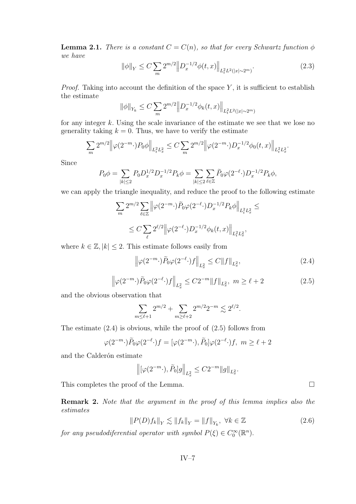<span id="page-7-0"></span>**Lemma 2.1.** *There is a constant*  $C = C(n)$ *, so that for every Schwartz function*  $\phi$ *we have*

$$
\|\phi\|_{Y} \le C \sum_{m} 2^{m/2} \left\| D_x^{-1/2} \phi(t, x) \right\|_{L_t^2 L^2(|x| \sim 2^m)}.
$$
\n(2.3)

*Proof.* Taking into account the definition of the space  $Y$ , it is sufficient to establish the estimate

$$
\|\phi\|_{Y_k} \le C \sum_m 2^{m/2} \|D_x^{-1/2}\phi_k(t,x)\|_{L_t^2 L^2(|x| \sim 2^m)}
$$

for any integer k. Using the scale invariance of the estimate we see that we lose no generality taking  $k = 0$ . Thus, we have to verify the estimate

$$
\sum_{m} 2^{m/2} \left\| \varphi(2^{-m} \cdot) P_0 \phi \right\|_{L_t^2 L_x^2} \le C \sum_{m} 2^{m/2} \left\| \varphi(2^{-m} \cdot) D_x^{-1/2} \phi_0(t, x) \right\|_{L_t^2 L_x^2}.
$$

Since

$$
P_0 \phi = \sum_{|k| \le 2} P_0 D_x^{1/2} D_x^{-1/2} P_k \phi = \sum_{|k| \le 2} \sum_{\ell \in \mathbb{Z}} \tilde{P}_0 \varphi(2^{-\ell} \cdot) D_x^{-1/2} P_k \phi,
$$

we can apply the triangle inequality, and reduce the proof to the following estimate

$$
\begin{split} \sum_{m} 2^{m/2} \sum_{\ell \in \mathbb{Z}} \left\| \varphi(2^{-m} \cdot) \tilde{P}_0 \varphi(2^{-\ell} \cdot) D_x^{-1/2} P_k \phi \right\|_{L_t^2 L_x^2} \leq \\ \leq C \sum_{\ell} 2^{\ell/2} \left\| \varphi(2^{-\ell} \cdot) D_x^{-1/2} \phi_k(t,x) \right\|_{L_t^2 L_x^2}, \end{split}
$$

where  $k \in \mathbb{Z}, |k| \leq 2$ . This estimate follows easily from

$$
\left\|\varphi(2^{-m}\cdot)\widetilde{P}_0\varphi(2^{-\ell}\cdot)f\right\|_{L^2_x} \le C\|f\|_{L^2_x},\tag{2.4}
$$

$$
\left\|\varphi(2^{-m}\cdot)\tilde{P}_0\varphi(2^{-\ell}\cdot)f\right\|_{L^2_x} \le C2^{-m} \|f\|_{L^2_x}, \ m \ge \ell+2
$$
\n(2.5)

and the obvious observation that

$$
\sum_{m \leq \ell+1} 2^{m/2} + \sum_{m \geq \ell+2} 2^{m/2} 2^{-m} \lesssim 2^{\ell/2}.
$$

The estimate (2.4) is obvious, while the proof of (2.5) follows from

$$
\varphi(2^{-m}\cdot)\widetilde{P}_0\varphi(2^{-\ell}\cdot)f = [\varphi(2^{-m}\cdot),\widetilde{P}_0]\varphi(2^{-\ell}\cdot)f, \ m \ge \ell+2
$$

and the Calderón estimate

$$
\left\| [\varphi(2^{-m} \cdot), \tilde{P}_0] g \right\|_{L^2_x} \le C 2^{-m} \| g \|_{L^2_x}.
$$

This completes the proof of the Lemma.

**Remark 2.** *Note that the argument in the proof of this lemma implies also the estimates*

$$
||P(D)f_k||_Y \lesssim ||f_k||_Y = ||f||_{Y_k}, \ \forall k \in \mathbb{Z}
$$
\n(2.6)

*for any pseudodiferential operator with symbol*  $P(\xi) \in C_0^{\infty}(\mathbb{R}^n)$ .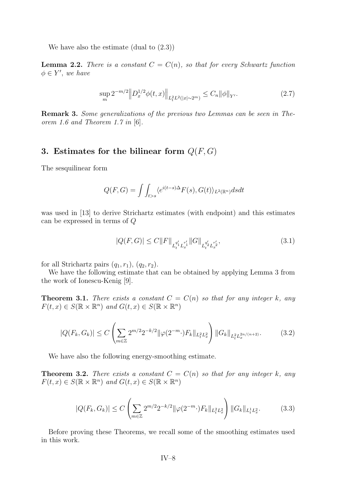<span id="page-8-0"></span>We have also the estimate (dual to [\(2.3\)](#page-7-0))

**Lemma 2.2.** *There is a constant*  $C = C(n)$ *, so that for every Schwartz function*  $\phi \in Y'$ , we have

$$
\sup_{m} 2^{-m/2} \| D_x^{1/2} \phi(t, x) \|_{L_t^2 L^2(|x| \sim 2^m)} \le C_n \| \phi \|_{Y'}.
$$
\n(2.7)

**Remark 3.** *Some generalizations of the previous two Lemmas can be seen in Theorem 1.6 and Theorem 1.7 in* [\[6\]](#page-16-0)*.*

#### **3.** Estimates for the bilinear form  $Q(F, G)$

The sesquilinear form

$$
Q(F,G) = \int \int_{t>s} \langle e^{i(t-s)\Delta} F(s), G(t) \rangle_{L^2(\mathbb{R}^n)} ds dt
$$

was used in [\[13\]](#page-16-0) to derive Strichartz estimates (with endpoint) and this estimates can be expressed in terms of Q

$$
|Q(F,G)| \le C ||F||_{L_t^{q'_1} L_x^{r'_1}} ||G||_{L_t^{q'_2} L_x^{r'_2}},
$$
\n(3.1)

for all Strichartz pairs  $(q_1, r_1)$ ,  $(q_2, r_2)$ .

We have the following estimate that can be obtained by applying Lemma 3 from the work of Ionescu-Kenig [\[9\]](#page-16-0).

**Theorem 3.1.** *There exists a constant*  $C = C(n)$  *so that for any integer* k, any  $F(t, x) \in S(\mathbb{R} \times \mathbb{R}^n)$  and  $G(t, x) \in S(\mathbb{R} \times \mathbb{R}^n)$ 

$$
|Q(F_k, G_k)| \le C \left( \sum_{m \in \mathbb{Z}} 2^{m/2} 2^{-k/2} ||\varphi(2^{-m} \cdot) F_k||_{L_t^2 L_x^2} \right) ||G_k||_{L_t^2 L_x^{2n/(n+2)}}.
$$
 (3.2)

We have also the following energy-smoothing estimate.

**Theorem 3.2.** *There exists a constant*  $C = C(n)$  *so that for any integer* k, any  $F(t, x) \in S(\mathbb{R} \times \mathbb{R}^n)$  and  $G(t, x) \in S(\mathbb{R} \times \mathbb{R}^n)$ 

$$
|Q(F_k, G_k)| \le C \left( \sum_{m \in \mathbb{Z}} 2^{m/2} 2^{-k/2} ||\varphi(2^{-m} \cdot) F_k||_{L_t^2 L_x^2} \right) ||G_k||_{L_t^1 L_x^2}.
$$
 (3.3)

Before proving these Theorems, we recall some of the smoothing estimates used in this work.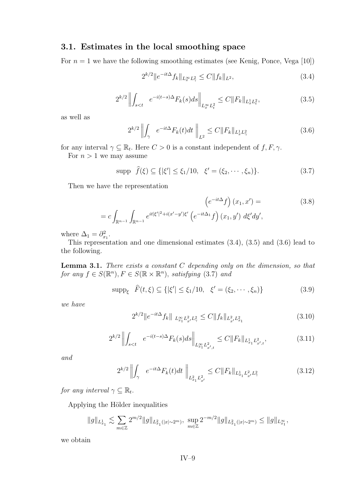#### **3.1. Estimates in the local smoothing space**

For  $n = 1$  we have the following smoothing estimates (see Kenig, Ponce, Vega [\[10\]](#page-16-0))

$$
2^{k/2} \|e^{-it\Delta} f_k\|_{L_x^{\infty} L_\gamma^2} \le C \|f_k\|_{L^2},\tag{3.4}
$$

$$
2^{k/2} \left\| \int_{s\n(3.5)
$$

as well as

$$
2^{k/2} \left\| \int_{\gamma} e^{-it\Delta} F_k(t) dt \right\|_{L^2} \le C \|F_k\|_{L^1_x L^2_{\gamma}}
$$
 (3.6)

for any interval  $\gamma \subseteq \mathbb{R}_t$ . Here  $C > 0$  is a constant independent of  $f, F, \gamma$ .

For  $n > 1$  we may assume

$$
\text{supp} \ \hat{f}(\xi) \subseteq \{ |\xi'| \le \xi_1/10, \ \xi' = (\xi_2, \cdots, \xi_n) \}. \tag{3.7}
$$

Then we have the representation

$$
\left(e^{-it\Delta}f\right)(x_1, x') =
$$
\n
$$
= c \int_{\mathbb{R}^{n-1}} \int_{\mathbb{R}^{n-1}} e^{it|\xi'|^2 + i(x'-y')\xi'} \left(e^{-it\Delta_1}f\right)(x_1, y') d\xi' dy',
$$
\n
$$
(3.8)
$$

where  $\Delta_1 = \partial_{x_1}^2$ .

This representation and one dimensional estimates (3.4), (3.5) and (3.6) lead to the following.

**Lemma 3.1.** *There exists a constant* C *depending only on the dimension, so that for any*  $f \in S(\mathbb{R}^n)$ ,  $F \in S(\mathbb{R} \times \mathbb{R}^n)$ , *satisfying* (3.7) *and* 

$$
\text{supp}_{\xi} \ \hat{F}(t,\xi) \subseteq \{ |\xi'| \le \xi_1/10, \ \xi' = (\xi_2, \cdots, \xi_n) \} \tag{3.9}
$$

*we have*

$$
2^{k/2} \|e^{-it\Delta} f_k\|_{L^{\infty}_{x_1} L^2_{x'} L^2_{\gamma}} \le C \|f_k\|_{L^2_{x'} L^2_{x_1}} \tag{3.10}
$$

$$
2^{k/2} \left\| \int_{s
$$

*and*

$$
2^{k/2} \left\| \int_{\gamma} e^{-it\Delta} F_k(t) dt \right\|_{L^2_{x_1} L^2_{x'}} \le C \|F_k\|_{L^1_{x_1} L^2_{x'} L^2_{\gamma}}
$$
(3.12)

*for any interval*  $\gamma \subseteq \mathbb{R}_t$ .

Applying the Hölder inequalities

$$
\|g\|_{L^1_{x_1}} \lesssim \sum_{m \in \mathbb{Z}} 2^{m/2} \|g\|_{L^2_{x_1}(|x| \sim 2^m)}, \ \sup_{m \in \mathbb{Z}} 2^{-m/2} \|g\|_{L^2_{x_1}(|x| \sim 2^m)} \le \|g\|_{L^\infty_{x_1}},
$$

we obtain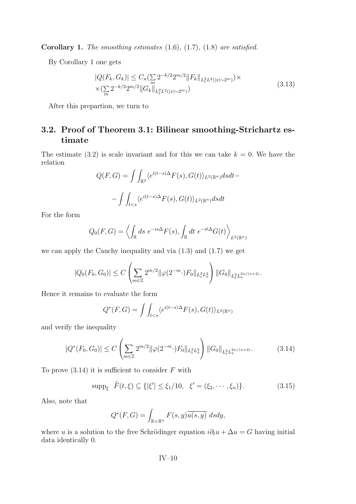<span id="page-10-0"></span>**Corollary 1.** *The smoothing estimates* [\(1.6\)](#page-2-0)*,* [\(1.7\)](#page-2-0)*,* [\(1.8\)](#page-2-0) *are satisfied.*

By Corollary 1 one gets

$$
|Q(F_k, G_k)| \le C_n \left(\sum_m 2^{-k/2} 2^{m/2} \|F_k\|_{L_t^2 L^2(|x| \sim 2^m)}\right) \times \left(\sum_m 2^{-k/2} 2^{m/2} \|G_k\|_{L_t^2 L^2(|x| \sim 2^m)}\right) \tag{3.13}
$$

After this prepartion, we turn to

#### **3.2. Proof of Theorem [3.1:](#page-8-0) Bilinear smoothing-Strichartz estimate**

The estimate [\(3.2\)](#page-8-0) is scale invariant and for this we can take  $k = 0$ . We have the relation

$$
Q(F,G) = \int \int_{\mathbb{R}^2} \langle e^{i(t-s)\Delta} F(s), G(t) \rangle_{L^2(\mathbb{R}^n)} ds dt -
$$

$$
- \int \int_{t
$$

For the form

$$
Q_0(F,G) = \left\langle \int_{\mathbb{R}} ds \ e^{-is\Delta} F(s), \int_{\mathbb{R}} dt \ e^{-it\Delta} G(t) \right\rangle_{L^2(\mathbb{R}^n)}
$$

we can apply the Cauchy inequality and via [\(1.3\)](#page-2-0) and [\(1.7\)](#page-2-0) we get

$$
|Q_0(F_0, G_0)| \le C \left( \sum_{m \in \mathbb{Z}} 2^{m/2} ||\varphi(2^{-m} \cdot) F_0||_{L_t^2 L_x^2} \right) ||G_0||_{L_t^2 L_x^{2n/(n+2)}}.
$$

Hence it remains to evaluate the form

$$
Q^*(F,G) = \int \int_{t
$$

and verify the inequality

$$
|Q^*(F_0, G_0)| \le C \left( \sum_{m \in \mathbb{Z}} 2^{m/2} \|\varphi(2^{-m} \cdot) F_0\|_{L_t^2 L_x^2} \right) \|G_0\|_{L_t^2 L_x^{2n/(n+2)}}. \tag{3.14}
$$

To prove  $(3.14)$  it is sufficient to consider F with

$$
\text{supp}_{\xi} \ \hat{F}(t,\xi) \subseteq \{ |\xi'| \le \xi_1/10, \ \xi' = (\xi_2, \cdots, \xi_n) \}. \tag{3.15}
$$

Also, note that

$$
Q^*(F, G) = \int_{\mathbb{R} \times \mathbb{R}^n} F(s, y) \overline{u(s, y)} ds dy,
$$

where u is a solution to the free Schrödinger equation  $i\partial_t u + \Delta u = G$  having initial data identically 0.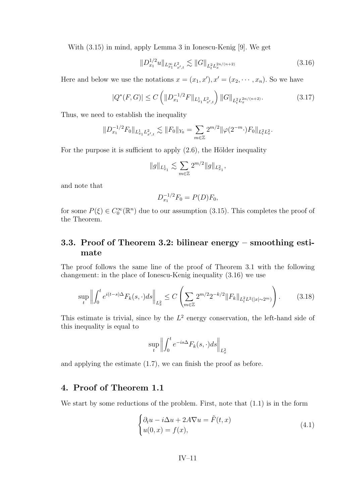<span id="page-11-0"></span>With [\(3.15\)](#page-10-0) in mind, apply Lemma 3 in Ionescu-Kenig [\[9\]](#page-16-0). We get

$$
||D_{x_1}^{1/2}u||_{L_{x_1}^{\infty}L_{x',t}^2} \lesssim ||G||_{L_t^2L_x^{2n/(n+2)}}\tag{3.16}
$$

Here and below we use the notations  $x = (x_1, x'), x' = (x_2, \dots, x_n)$ . So we have

$$
|Q^*(F,G)| \le C \left( \|D_{x_1}^{-1/2} F\|_{L_{x_1}^1 L_{x',t}^2} \right) \|G\|_{L_t^2 L_x^{2n/(n+2)}}.
$$
\n(3.17)

Thus, we need to establish the inequality

$$
||D_{x_1}^{-1/2}F_0||_{L_{x_1}^1L_{x',t}^2} \lesssim ||F_0||_{Y_0} = \sum_{m \in \mathbb{Z}} 2^{m/2} ||\varphi(2^{-m} \cdot) F_0||_{L_t^2L_x^2}.
$$

For the purpose it is sufficient to apply [\(2.6\)](#page-7-0), the Hölder inequality

$$
||g||_{L_{x_1}^1} \lesssim \sum_{m \in \mathbb{Z}} 2^{m/2} ||g||_{L_{x_1}^2},
$$

and note that

$$
D_{x_1}^{-1/2}F_0 = P(D)F_0,
$$

for some  $P(\xi) \in C_0^{\infty}(\mathbb{R}^n)$  due to our assumption [\(3.15\)](#page-10-0). This completes the proof of the Theorem.

#### **3.3. Proof of Theorem [3.2:](#page-8-0) bilinear energy – smoothing estimate**

The proof follows the same line of the proof of Theorem [3.1](#page-8-0) with the following changement: in the place of Ionescu-Kenig inequality (3.16) we use

$$
\sup_{t} \left\| \int_{0}^{t} e^{i(t-s)\Delta} F_{k}(s,\cdot) ds \right\|_{L_{x}^{2}} \leq C \left( \sum_{m \in \mathbb{Z}} 2^{m/2} 2^{-k/2} \| F_{k} \|_{L_{t}^{2} L^{2}(|x| \sim 2^{m})} \right). \tag{3.18}
$$

This estimate is trivial, since by the  $L^2$  energy conservation, the left-hand side of this inequality is equal to

$$
\sup_{t} \left\| \int_{0}^{t} e^{-is\Delta} F_{k}(s,\cdot) ds \right\|_{L_{x}^{2}}
$$

and applying the estimate [\(1.7\)](#page-2-0), we can finish the proof as before.

#### **4. Proof of Theorem [1.1](#page-4-0)**

We start by some reductions of the problem. First, note that  $(1.1)$  is in the form

$$
\begin{cases} \partial_t u - i\Delta u + 2A\nabla u = \tilde{F}(t, x) \\ u(0, x) = f(x), \end{cases}
$$
\n(4.1)

$$
IV-11
$$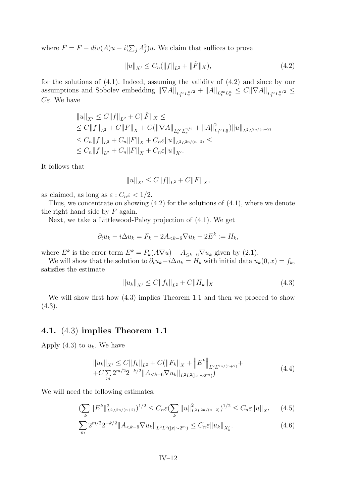<span id="page-12-0"></span>where  $\tilde{F} = F - div(A)u - i(\sum_j A_j^2)u$ . We claim that suffices to prove

$$
||u||_{X'} \le C_n (||f||_{L^2} + ||\tilde{F}||_X), \tag{4.2}
$$

for the solutions of [\(4.1\)](#page-11-0). Indeed, assuming the validity of (4.2) and since by our assumptions and Sobolev embedding  $\|\nabla A\|_{L_t^{\infty}L_x^{n/2}} + \|A\|_{L_t^{\infty}L_x^n} \leq C\|\nabla A\|_{L_t^{\infty}L_x^{n/2}} \leq$ Cε. We have

$$
||u||_{X'} \leq C||f||_{L^{2}} + C||\tilde{F}||_{X} \leq
$$
  
\n
$$
\leq C||f||_{L^{2}} + C||F||_{X} + C(||\nabla A||_{L_{t}^{\infty}L_{x}^{n/2}} + ||A||_{L_{t}^{\infty}L_{x}^{n}}^{2})||u||_{L^{2}L^{2n/(n-2)}}
$$
  
\n
$$
\leq C_{n}||f||_{L^{2}} + C_{n}||F||_{X} + C_{n}\varepsilon||u||_{L^{2}L^{2n/(n-2)}} \leq
$$
  
\n
$$
\leq C_{n}||f||_{L^{2}} + C_{n}||F||_{X} + C_{n}\varepsilon||u||_{X'}.
$$

It follows that

$$
||u||_{X'} \leq C||f||_{L^2} + C||F||_X,
$$

as claimed, as long as  $\varepsilon$  :  $C_n \varepsilon < 1/2$ .

Thus, we concentrate on showing (4.2) for the solutions of [\(4.1\)](#page-11-0), where we denote the right hand side by  $F$  again.

Next, we take a Littlewood-Paley projection of [\(4.1\)](#page-11-0). We get

$$
\partial_t u_k - i \Delta u_k = F_k - 2A_{< k-6} \nabla u_k - 2E^k := H_k,
$$

where  $E^k$  is the error term  $E^k = P_k(A\nabla u) - A_{\leq k-6}\nabla u_k$  given by [\(2.1\)](#page-6-0).

We will show that the solution to  $\partial_t u_k - i \Delta u_k = H_k$  with initial data  $u_k(0, x) = f_k$ , satisfies the estimate

$$
||u_k||_{X'} \le C||f_k||_{L^2} + C||H_k||_X \tag{4.3}
$$

We will show first how (4.3) implies Theorem [1.1](#page-4-0) and then we proceed to show  $(4.3).$ 

#### **4.1.** (4.3) **implies Theorem [1.1](#page-4-0)**

Apply (4.3) to  $u_k$ . We have

$$
||u_k||_{X'} \leq C||f_k||_{L^2} + C(||F_k||_X + ||E^k||_{L^2 L^{2n/(n+2)}} + C \sum_{m} 2^{m/2} 2^{-k/2} ||A_{< k-6} \nabla u_k||_{L^2 L^2(|x| \sim 2^m)})
$$
\n(4.4)

We will need the following estimates.

$$
\left(\sum_{k} \|E^{k}\|_{L^{2}L^{2n/(n+2)}}^{2}\right)^{1/2} \leq C_{n}\varepsilon\left(\sum_{k} \|u\|_{L^{2}L^{2n/(n-2)}}^{2}\right)^{1/2} \leq C_{n}\varepsilon\|u\|_{X'}\qquad(4.5)
$$

$$
\sum_{m} 2^{m/2} 2^{-k/2} \|A_{< k-6} \nabla u_k\|_{L^2 L^2(|x| \sim 2^m)} \leq C_n \varepsilon \|u_k\|_{X'_k}.
$$
\n(4.6)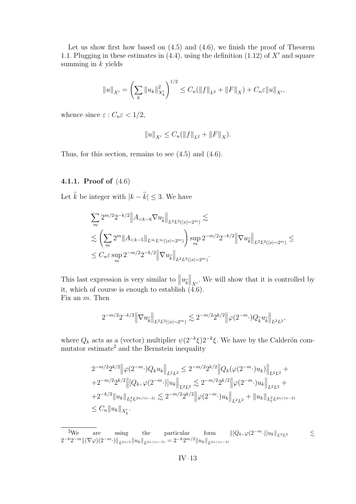Let us show first how based on  $(4.5)$  and  $(4.6)$ , we finish the proof of Theorem [1.1.](#page-4-0) Plugging in these estimates in  $(4.4)$ , using the definition  $(1.12)$  of X' and square summing in  $k$  yields

$$
||u||_{X'} = \left(\sum_{k} ||u_k||_{X'_k}^2\right)^{1/2} \leq C_n(||f||_{L^2} + ||F||_X) + C_n \varepsilon ||u||_{X'},
$$

whence since  $\varepsilon$  :  $C_n \varepsilon < 1/2$ ,

$$
||u||_{X'} \leq C_n (||f||_{L^2} + ||F||_X).
$$

Thus, for this section, remains to see [\(4.5\)](#page-12-0) and [\(4.6\)](#page-12-0).

#### **4.1.1. Proof of** [\(4.6\)](#page-12-0)

Let  $\tilde{k}$  be integer with  $|k - \tilde{k}| \leq 3$ . We have

$$
\sum_{m} 2^{m/2} 2^{-k/2} \|A_{< k-6} \nabla u_{\widetilde{k}}\|_{L^2 L^2(|x| \sim 2^m)} \lesssim
$$
\n
$$
\lesssim \left( \sum_{m} 2^m \|A_{< k-5}\|_{L^\infty L^\infty(|x| \sim 2^m)} \right) \sup_m 2^{-m/2} 2^{-k/2} \|\nabla u_{\widetilde{k}}\|_{L^2 L^2(|x| \sim 2^m)} \le
$$
\n
$$
\leq C_n \varepsilon \sup_m 2^{-m/2} 2^{-k/2} \|\nabla u_{\widetilde{k}}\|_{L^2 L^2(|x| \sim 2^m)}.
$$

This last expression is very similar to  $||u_{\tilde{k}}||_{X'}$ . We will show that it is controlled by<br>it which of course is enough to establish  $(A, \mathcal{E})$ it, which of course is enough to establish [\(4.6\)](#page-12-0). Fix an m. Then

$$
2^{-m/2}2^{-k/2}\left\|\nabla u_{\widetilde{k}}\right\|_{L^2L^2(|x|\sim 2^m)}\lesssim 2^{-m/2}2^{k/2}\left\|\varphi(2^{-m}\cdot)Q_{\widetilde{k}}u_{\widetilde{k}}\right\|_{L^2L^2},
$$

where  $Q_k$  acts as a (vector) multiplier  $\psi(2^{-k}\xi)2^{-k}\xi$ . We have by the Calderón commutator estimate<sup>2</sup> and the Bernstein inequality

$$
2^{-m/2} 2^{k/2} \left\| \varphi(2^{-m} \cdot) Q_k u_k \right\|_{L^2 L^2} \leq 2^{-m/2} 2^{k/2} \left\| Q_k(\varphi(2^{-m} \cdot) u_k) \right\|_{L^2 L^2} +
$$
  
+2^{-m/2} 2^{k/2} \left\| [Q\_k, \varphi(2^{-m} \cdot) ] u\_k \right\|\_{L^2 L^2} \lesssim 2^{-m/2} 2^{k/2} \left\| \varphi(2^{-m} \cdot) u\_k \right\|\_{L^2 L^2} +  
+2^{-k/2} \| u\_k \|\_{L^2\_t L^{2n/(n-3)}} \lesssim 2^{-m/2} 2^{k/2} \left\| \varphi(2^{-m} \cdot) u\_k \right\|\_{L^2 L^2} + \| u\_k \|\_{L^2\_t L^{2n/(n-2)}}  
\leq C\_n \| u\_k \|\_{X'\_k}.

<sup>2</sup>We are using the particular form  $\|[Q_k, \varphi(2^{-m}\cdot)]u_k\|_{L^2L^2} \leq$  $2^{-k}2^{-m}\|(\nabla\varphi)(2^{-m}\cdot)\|_{L^{2n/3}}\|u_k\|_{L^{2n/(n-3)}}=2^{-k}2^{m/2}\|u_k\|_{L^{2n/(n-3)}}$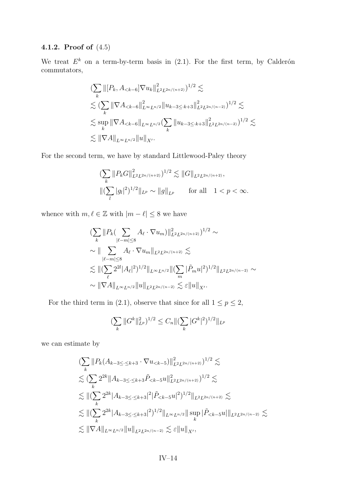#### **4.1.2. Proof of** [\(4.5\)](#page-12-0)

We treat  $E^k$  on a term-by-term basis in  $(2.1)$ . For the first term, by Calderón commutators,

$$
\begin{split}\n&\left(\sum_{k} \left\| [P_k, A_{< k-6}] \nabla u_k \right\|_{L^2 L^{2n/(n+2)}}^2 \right)^{1/2} \lesssim \\
&\lesssim (\sum_{k} \left\| \nabla A_{< k-6} \right\|_{L^\infty L^{n/2}}^2 \left\| u_{k-3 \le k+3} \right\|_{L^2 L^{2n/(n-2)}}^2)^{1/2} \lesssim \\
&\lesssim \sup_{k} \left\| \nabla A_{< k-6} \right\|_{L^\infty L^{n/2}} \left( \sum_{k} \left\| u_{k-3 \le k+3} \right\|_{L^2 L^{2n/(n-2)}}^2 \right)^{1/2} \lesssim \\
&\lesssim \left\| \nabla A \right\|_{L^\infty L^{n/2}} \left\| u \right\|_{X'}.\n\end{split}
$$

For the second term, we have by standard Littlewood-Paley theory

$$
\label{estim} \begin{split} & \bigl(\sum_k \|P_k G\|_{L^2 L^{2n/(n+2)}}^2\bigr)^{1/2} \lesssim \|G\|_{L^2 L^{2n/(n+2)}},\\ & \bigl\|(\sum_l |g_l|^2)^{1/2}\|_{L^p} \sim \|g\|_{L^p} \qquad \text{for all} \quad 1 < p < \infty. \end{split}
$$

whence with  $m, \ell \in \mathbb{Z}$  with  $|m - \ell| \leq 8$  we have

$$
\begin{split}\n&\left(\sum_{k} \|P_{k}\left(\sum_{|\ell-m| \leq 8} A_{\ell} \cdot \nabla u_{m}\right)\|_{L^{2} L^{2n/(n+2)}}^{2}\right)^{1/2} \sim \\
&\sim \|\sum_{|\ell-m| \leq 8} A_{\ell} \cdot \nabla u_{m}\|_{L^{2} L^{2n/(n+2)}} \lesssim \\
&\lesssim \|\left(\sum_{\ell} 2^{2l} |A_{\ell}|^{2}\right)^{1/2} \|_{L^{\infty} L^{n/2}} \|\left(\sum_{m} |\tilde{P}_{m} u|^{2}\right)^{1/2} \|_{L^{2} L^{2n/(n-2)}} \sim \\
&\sim \|\nabla A\|_{L^{\infty} L^{n/2}} \|u\|_{L^{2} L^{2n/(n-2)}} \lesssim \varepsilon \|u\|_{X'}.\n\end{split}
$$

For the third term in [\(2.1\)](#page-6-0), observe that since for all  $1 \le p \le 2$ ,

$$
\left(\sum_{k} \|G^k\|_{L^p}^2\right)^{1/2} \le C_n \|\left(\sum_{k} |G^k|^2\right)^{1/2} \|_{L^p}
$$

we can estimate by

$$
\begin{split}\n&\left(\sum_{k} \|P_{k}(A_{k-3\leq \cdot \leq k+3} \cdot \nabla u_{< k-5})\|_{L^{2}L^{2n/(n+2)}}^{2}\right)^{1/2} \lesssim \\
&\lesssim \left(\sum_{k} 2^{2k} \|A_{k-3\leq \cdot \leq k+3} \tilde{P}_{< k-5} u\|_{L^{2}L^{2n/(n+2)}}^{2}\right)^{1/2} \lesssim \\
&\lesssim \left\| (\sum_{k} 2^{2k} |A_{k-3\leq \cdot \leq k+3}|^{2})^{\tilde{P}_{< k-5} u|^{2})^{1/2} \|_{L^{2}L^{2n/(n+2)}} \lesssim \\
&\lesssim \left\| (\sum_{k} 2^{2k} |A_{k-3\leq \cdot \leq k+3}|^{2})^{1/2} \|_{L^{\infty}L^{n/2}} \right\| \sup_{k} |\tilde{P}_{< k-5} u| \|_{L^{2}L^{2n/(n-2)}} \lesssim \\
&\lesssim \|\nabla A\|_{L^{\infty}L^{n/2}} \|u\|_{L^{2}L^{2n/(n-2)}} \lesssim \varepsilon \|u\|_{X'},\n\end{split}
$$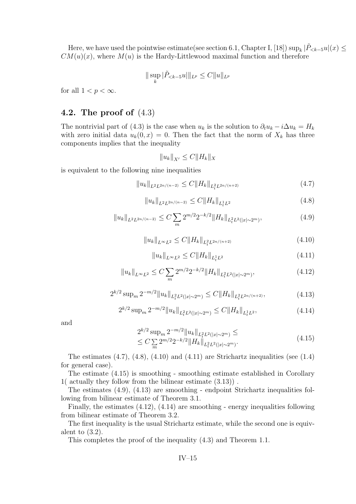Here, we have used the pointwise estimate(see section 6.1, Chapter I, [\[18\]](#page-17-0))  $\sup_k |\tilde{P}_{\leq k-5}u|(x) \leq$  $CM(u)(x)$ , where  $M(u)$  is the Hardy-Littlewood maximal function and therefore

$$
\|\sup_k|\tilde{P}_{< k-5}u|\|_{L^p}\leq C\|u\|_{L^p}
$$

for all  $1 < p < \infty$ .

#### **4.2. The proof of** [\(4.3\)](#page-12-0)

The nontrivial part of [\(4.3\)](#page-12-0) is the case when  $u_k$  is the solution to  $\partial_t u_k - i \Delta u_k = H_k$ with zero initial data  $u_k(0, x) = 0$ . Then the fact that the norm of  $X_k$  has three components implies that the inequality

$$
||u_k||_{X'} \le C||H_k||_X
$$

is equivalent to the following nine inequalities

$$
||u_k||_{L^2L^{2n/(n-2)}} \leq C||H_k||_{L^2_tL^{2n/(n+2)}}\tag{4.7}
$$

$$
||u_k||_{L^2L^{2n/(n-2)}} \leq C||H_k||_{L^1_tL^2}
$$
\n(4.8)

$$
||u_k||_{L^2L^{2n/(n-2)}} \le C \sum_m 2^{m/2} 2^{-k/2} ||H_k||_{L^2_tL^2(|x|\sim 2^m)},
$$
\n(4.9)

$$
||u_k||_{L^{\infty}L^2} \le C||H_k||_{L^2_t L^{2n/(n+2)}} \tag{4.10}
$$

$$
||u_k||_{L^{\infty}L^2} \le C||H_k||_{L_t^1L^2}
$$
\n(4.11)

$$
||u_k||_{L^{\infty}L^2} \le C \sum_{m} 2^{m/2} 2^{-k/2} ||H_k||_{L^2_t L^2(|x| \sim 2^m)}, \tag{4.12}
$$

$$
2^{k/2} \sup_{m} 2^{-m/2} \|u_k\|_{L_t^2 L^2(|x| \sim 2^m)} \le C \|H_k\|_{L_t^2 L^{2n/(n+2)}}, \tag{4.13}
$$

$$
2^{k/2} \sup_{m} 2^{-m/2} \|u_k\|_{L_t^2 L^2(|x| \sim 2^m)} \le C \|H_k\|_{L_t^1 L^2}, \tag{4.14}
$$

and

$$
2^{k/2} \sup_{m} 2^{-m/2} \|u_k\|_{L_t^2 L^2(|x| \sim 2^m)} \le
$$
  
 
$$
\le C \sum_{m} 2^{m/2} 2^{-k/2} \|H_k\|_{L_t^2 L^2(|x| \sim 2^m)}.
$$
 (4.15)

The estimates  $(4.7)$ ,  $(4.8)$ ,  $(4.10)$  and  $(4.11)$  are Strichartz inequalities (see  $(1.4)$ ) for general case).

The estimate (4.15) is smoothing - smoothing estimate established in Corollary [1\(](#page-10-0) actually they follow from the bilinear estimate [\(3.13\)](#page-10-0)) .

The estimates (4.9), (4.13) are smoothing - endpoint Strichartz inequalities following from bilinear estimate of Theorem [3.1.](#page-8-0)

Finally, the estimates (4.12), (4.14) are smoothing - energy inequalities following from bilinear estimate of Theorem [3.2.](#page-8-0)

The first inequality is the usual Strichartz estimate, while the second one is equivalent to  $(3.2)$ .

This completes the proof of the inequality [\(4.3\)](#page-12-0) and Theorem [1.1.](#page-4-0)

$$
IV-15
$$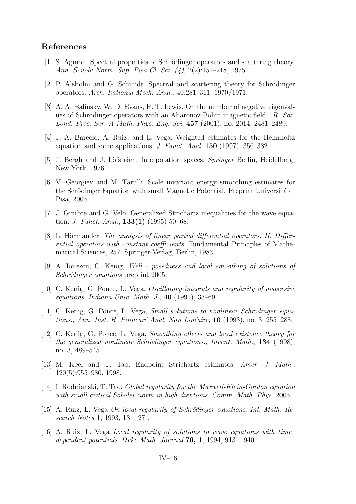#### <span id="page-16-0"></span>**References**

- [1] S. Agmon. Spectral properties of Schrödinger operators and scattering theory. *Ann. Scuola Norm. Sup. Pisa Cl. Sci. (4)*, 2(2):151–218, 1975.
- [2] P. Alsholm and G. Schmidt. Spectral and scattering theory for Schrödinger operators. *Arch. Rational Mech. Anal.*, 40:281–311, 1970/1971.
- [3] A. A. Balinsky, W. D. Evans, R. T. Lewis, On the number of negative eigenvalues of Schrödinger operators with an Aharonov-Bohm magnetic field. *R. Soc. Lond. Proc. Ser. A Math. Phys. Eng. Sci.* **457** (2001), no. 2014, 2481–2489.
- [4] J. A. Barcelo, A. Ruiz, and L. Vega. Weighted estimates for the Helmholtz equation and some applications. *J. Funct. Anal.* **150** (1997), 356–382.
- [5] J. Bergh and J. Löfström, Interpolation spaces, *Springer* Berlin, Heidelberg, New York, 1976.
- [6] V. Georgiev and M. Tarulli. Scale invariant energy smoothing estimates for the Scrödinger Equation with small Magnetic Potential. Preprint Universitá di Pisa, 2005.
- [7] J. Ginibre and G. Velo. Generalized Strichartz inequalities for the wave equation. *J. Funct. Anal.*, **133(1)** (1995) 50–68.
- [8] L. Hörmander, *The analysis of linear partial differential operators. II. Differential operators with constant coefficients.* Fundamental Principles of Mathematical Sciences, 257. Springer-Verlag, Berlin, 1983.
- [9] A. Ionescu, C. Kenig, *Well posedness and local smoothing of solutions of Schrödinger equations* preprint 2005.
- [10] C. Kenig, G. Ponce, L. Vega, *Oscillatory integrals and regularity of dispersive equations*, *Indiana Univ. Math. J.*, **40** (1991), 33–69.
- [11] C. Kenig, G. Ponce, L. Vega, *Small solutions to nonlinear Schrödinger equations.*, *Ann. Inst. H. Poincaré Anal. Non Linéaire*, **10** (1993), no. 3, 255–288.
- [12] C. Kenig, G. Ponce, L. Vega, *Smoothing effects and local existence theory for the generalized nonlinear Schrödinger equations.*, *Invent. Math.*, **134** (1998), no. 3, 489–545.
- [13] M. Keel and T. Tao. Endpoint Strichartz estimates. *Amer. J. Math.*, 120(5):955–980, 1998.
- [14] I. Rodnianski, T. Tao, *Global regularity for the Maxwell-Klein-Gordon equation with small critical Sobolev norm in high dientions*. *Comm. Math. Phys.* 2005.
- [15] A. Ruiz, L. Vega *On local regularity of Schrödinger equations*. *Int. Math. Research Notes* **1**, 1993, 13 – 27 .
- [16] A. Ruiz, L. Vega *Local regularity of solutions to wave equations with time– dependent potentials*. *Duke Math. Journal* **76, 1**, 1994, 913 – 940.